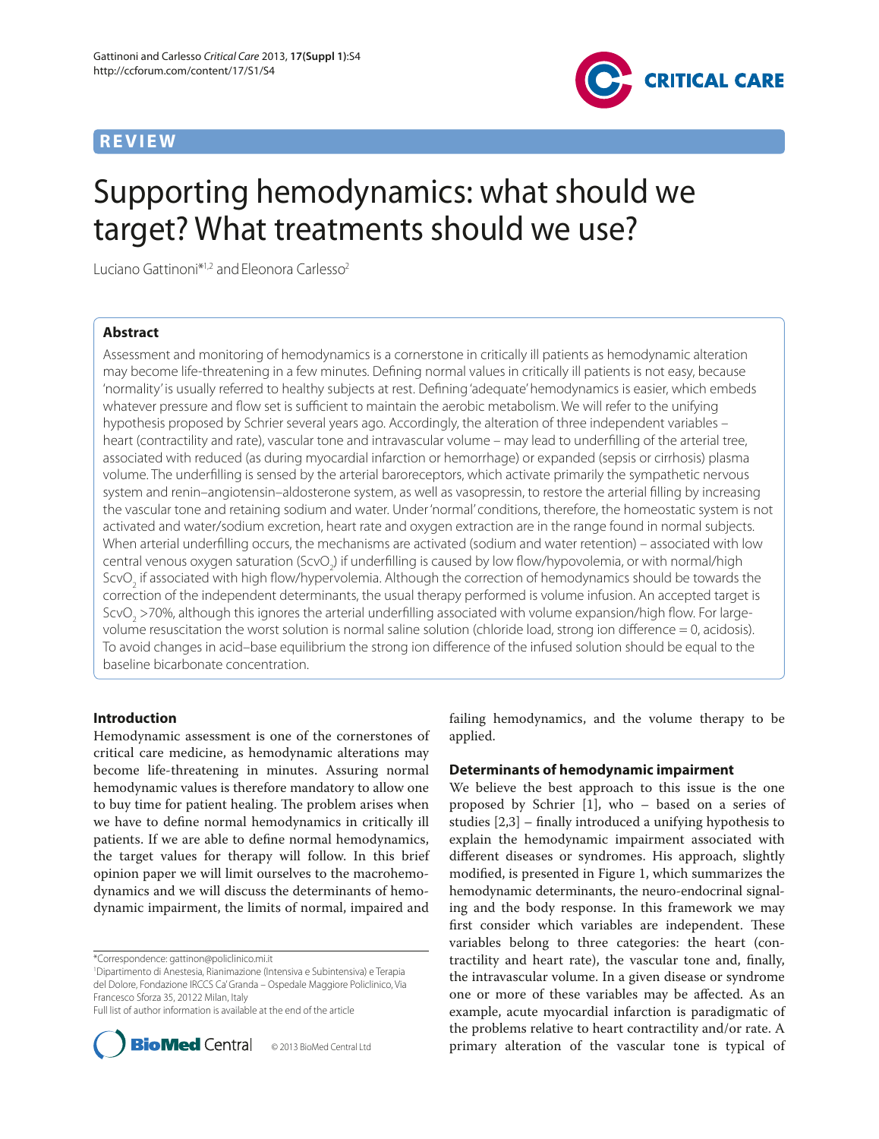# **REVIEW**



# Supporting hemodynamics: what should we target? What treatments should we use?

Luciano Gattinoni<sup>\*1,2</sup> and Eleonora Carlesso<sup>2</sup>

# **Abstract**

Assessment and monitoring of hemodynamics is a cornerstone in critically ill patients as hemodynamic alteration may become life-threatening in a few minutes. Defining normal values in critically ill patients is not easy, because 'normality' is usually referred to healthy subjects at rest. Defining 'adequate' hemodynamics is easier, which embeds whatever pressure and flow set is sufficient to maintain the aerobic metabolism. We will refer to the unifying hypothesis proposed by Schrier several years ago. Accordingly, the alteration of three independent variables – heart (contractility and rate), vascular tone and intravascular volume – may lead to underfilling of the arterial tree, associated with reduced (as during myocardial infarction or hemorrhage) or expanded (sepsis or cirrhosis) plasma volume. The underfilling is sensed by the arterial baroreceptors, which activate primarily the sympathetic nervous system and renin–angiotensin–aldosterone system, as well as vasopressin, to restore the arterial filling by increasing the vascular tone and retaining sodium and water. Under 'normal' conditions, therefore, the homeostatic system is not activated and water/sodium excretion, heart rate and oxygen extraction are in the range found in normal subjects. When arterial underfilling occurs, the mechanisms are activated (sodium and water retention) – associated with low central venous oxygen saturation (ScvO<sub>2</sub>) if underfilling is caused by low flow/hypovolemia, or with normal/high ScvO<sub>2</sub> if associated with high flow/hypervolemia. Although the correction of hemodynamics should be towards the correction of the independent determinants, the usual therapy performed is volume infusion. An accepted target is ScvO<sub>2</sub> >70%, although this ignores the arterial underfilling associated with volume expansion/high flow. For largevolume resuscitation the worst solution is normal saline solution (chloride load, strong ion difference  $= 0$ , acidosis). To avoid changes in acid–base equilibrium the strong ion difference of the infused solution should be equal to the baseline bicarbonate concentration.

# **Introduction**

Hemodynamic assessment is one of the cornerstones of critical care medicine, as hemodynamic alterations may become life-threatening in minutes. Assuring normal hemodynamic values is therefore mandatory to allow one to buy time for patient healing. The problem arises when we have to define normal hemodynamics in critically ill patients. If we are able to define normal hemodynamics, the target values for therapy will follow. In this brief opinion paper we will limit ourselves to the macrohemodynamics and we will discuss the determinants of hemodynamic impairment, the limits of normal, impaired and

\*Correspondence: gattinon@policlinico.mi.it

1 Dipartimento di Anestesia, Rianimazione (Intensiva e Subintensiva) e Terapia del Dolore, Fondazione IRCCS Ca' Granda – Ospedale Maggiore Policlinico, Via Francesco Sforza 35, 20122 Milan, Italy Full list of author information is available at the end of the article



failing hemodynamics, and the volume therapy to be applied.

# **Determinants of hemodynamic impairment**

We believe the best approach to this issue is the one proposed by Schrier [1], who – based on a series of studies  $[2,3]$  – finally introduced a unifying hypothesis to explain the hemodynamic impairment associated with different diseases or syndromes. His approach, slightly modified, is presented in Figure 1, which summarizes the hemodynamic determinants, the neuro-endocrinal signaling and the body response. In this framework we may first consider which variables are independent. These variables belong to three categories: the heart (contractility and heart rate), the vascular tone and, finally, the intravascular volume. In a given disease or syndrome one or more of these variables may be affected. As an example, acute myocardial infarction is paradigmatic of the problems relative to heart contractility and/or rate. A primary alteration of the vascular tone is typical of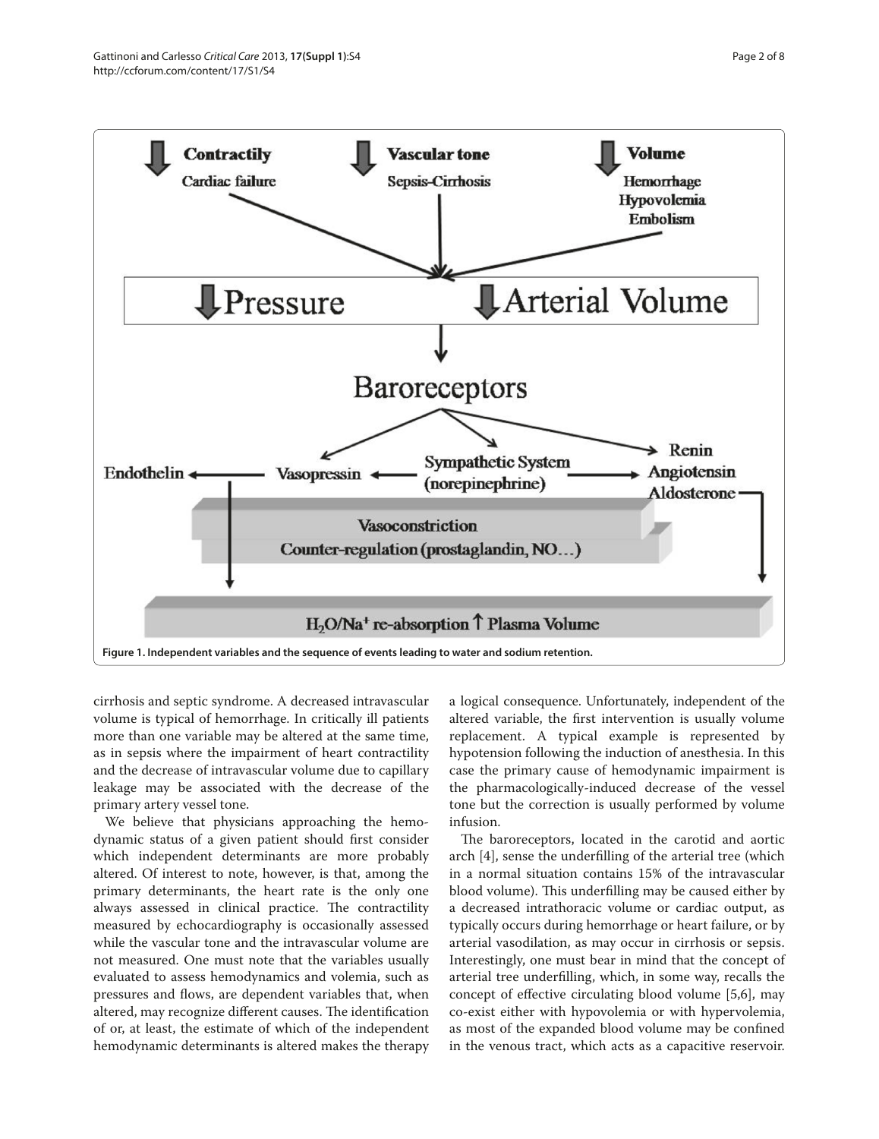

cirrhosis and septic syn drome. A decreased intravascular volume is typical of hemorrhage. In critically ill patients more than one variable may be altered at the same time, as in sepsis where the impairment of heart contractility and the decrease of intravascular volume due to capillary leakage may be associated with the decrease of the primary artery vessel tone.

We believe that physicians approaching the hemodynamic status of a given patient should first consider which independent determinants are more probably altered. Of interest to note, however, is that, among the primary determinants, the heart rate is the only one always assessed in clinical practice. The contractility measured by echocardiography is occasionally assessed while the vascular tone and the intravascular volume are not measured. One must note that the variables usually evaluated to assess hemodynamics and volemia, such as pressures and flows, are dependent variables that, when altered, may recognize different causes. The identification of or, at least, the estimate of which of the independent hemodynamic determinants is altered makes the therapy

a logical consequence. Unfortunately, independent of the altered variable, the first intervention is usually volume replacement. A typical example is represented by hypotension following the induction of anesthesia. In this case the primary cause of hemodynamic impairment is the pharmacologically-induced decrease of the vessel tone but the correction is usually performed by volume infusion.

The baroreceptors, located in the carotid and aortic arch [4], sense the underfilling of the arterial tree (which in a normal situation contains 15% of the intravascular blood volume). This underfilling may be caused either by a decreased intrathoracic volume or cardiac output, as typically occurs during hemorrhage or heart failure, or by arterial vasodilation, as may occur in cirrhosis or sepsis. Interestingly, one must bear in mind that the concept of arterial tree underfilling, which, in some way, recalls the concept of effective circulating blood volume [5,6], may co-exist either with hypovolemia or with hypervolemia, as most of the expanded blood volume may be confined in the venous tract, which acts as a capacitive reservoir.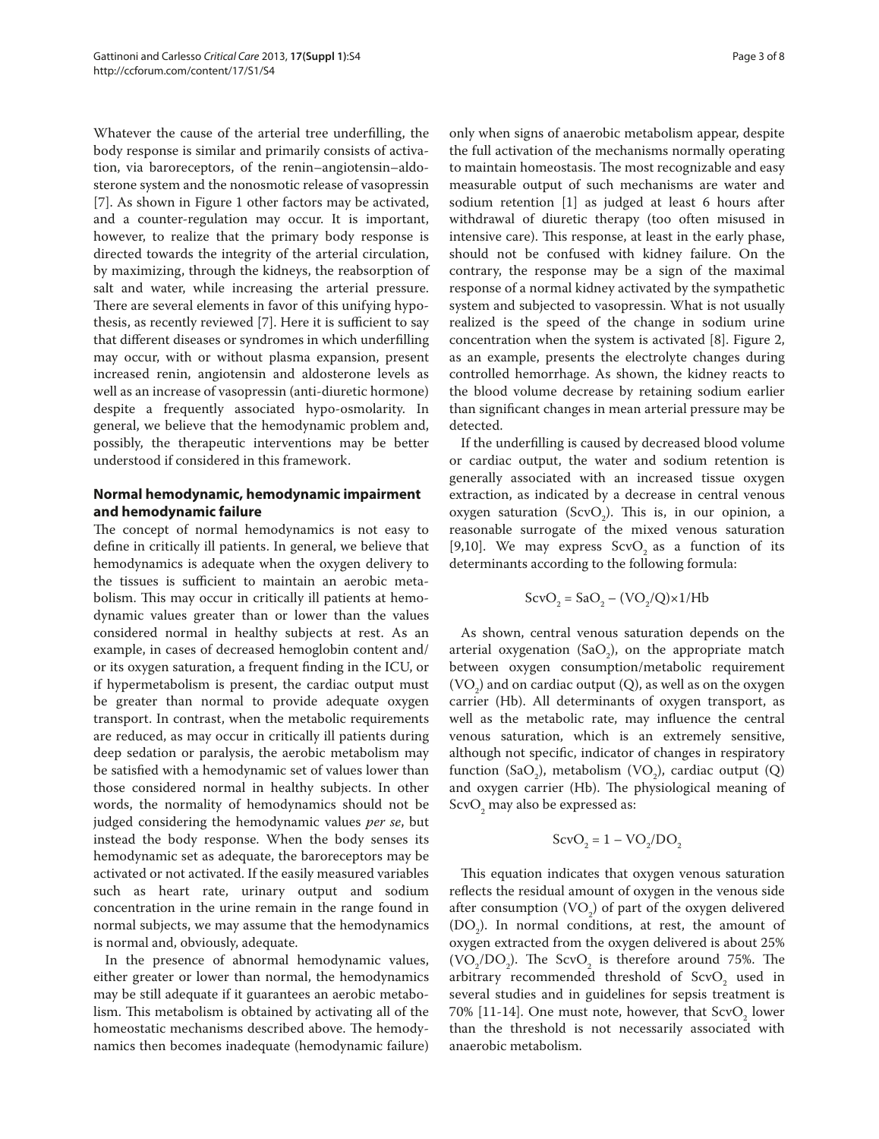Whatever the cause of the arterial tree underfilling, the body response is similar and primarily consists of activation, via baroreceptors, of the renin–angiotensin–aldosterone system and the nonosmotic release of vasopressin [7]. As shown in Figure 1 other factors may be activated, and a counter-regulation may occur. It is important, however, to realize that the primary body response is directed towards the integrity of the arterial circulation, by maximizing, through the kidneys, the reabsorption of salt and water, while increasing the arterial pressure. There are several elements in favor of this unifying hypothesis, as recently reviewed [7]. Here it is sufficient to say that different diseases or syndromes in which underfilling may occur, with or without plasma expansion, present increased renin, angiotensin and aldosterone levels as well as an increase of vasopressin (anti-diuretic hormone) despite a frequently associated hypo-osmolarity. In general, we believe that the hemodynamic problem and, possibly, the therapeutic interventions may be better understood if considered in this framework.

# **Normal hemodynamic, hemodynamic impairment and hemodynamic failure**

The concept of normal hemodynamics is not easy to define in critically ill patients. In general, we believe that hemodynamics is adequate when the oxygen delivery to the tissues is sufficient to maintain an aerobic metabolism. This may occur in critically ill patients at hemodynamic values greater than or lower than the values considered normal in healthy subjects at rest. As an example, in cases of decreased hemoglobin content and/ or its oxygen saturation, a frequent finding in the ICU, or if hypermetabolism is present, the cardiac output must be greater than normal to provide adequate oxygen transport. In contrast, when the metabolic requirements are reduced, as may occur in critically ill patients during deep sedation or paralysis, the aerobic metabolism may be satisfied with a hemodynamic set of values lower than those considered normal in healthy subjects. In other words, the normality of hemodynamics should not be judged considering the hemodynamic values *per se*, but instead the body response. When the body senses its hemodynamic set as adequate, the baroreceptors may be activated or not activated. If the easily measured variables such as heart rate, urinary output and sodium concentration in the urine remain in the range found in normal subjects, we may assume that the hemodynamics is normal and, obviously, adequate.

In the presence of abnormal hemodynamic values, either greater or lower than normal, the hemodynamics may be still adequate if it guarantees an aerobic metabolism. This metabolism is obtained by activating all of the homeostatic mechanisms described above. The hemodynamics then becomes inadequate (hemodynamic failure) only when signs of anaerobic metabolism appear, despite the full activation of the mechanisms normally operating to maintain homeostasis. The most recognizable and easy measurable output of such mechanisms are water and sodium retention [1] as judged at least 6 hours after withdrawal of diuretic therapy (too often misused in intensive care). This response, at least in the early phase, should not be confused with kidney failure. On the contrary, the response may be a sign of the maximal response of a normal kidney activated by the sympathetic system and subjected to vasopressin. What is not usually realized is the speed of the change in sodium urine concentration when the system is activated [8]. Figure 2, as an example, presents the electrolyte changes during controlled hemorrhage. As shown, the kidney reacts to the blood volume decrease by retaining sodium earlier than significant changes in mean arterial pressure may be detected.

If the underfilling is caused by decreased blood volume or cardiac output, the water and sodium retention is generally associated with an increased tissue oxygen extraction, as indicated by a decrease in central venous oxygen saturation  $(ScvO<sub>2</sub>)$ . This is, in our opinion, a reasonable surrogate of the mixed venous saturation [9,10]. We may express  $ScvO<sub>2</sub>$  as a function of its determinants according to the following formula:

$$
ScvO_2 = SaO_2 - (VO_2/Q) \times 1/Hb
$$

As shown, central venous saturation depends on the arterial oxygenation (SaO<sub>2</sub>), on the appropriate match between oxygen consumption/metabolic requirement  $({\rm VO}_{2})$  and on cardiac output (Q), as well as on the oxygen carrier (Hb). All determinants of oxygen transport, as well as the metabolic rate, may influence the central venous saturation, which is an extremely sensitive, although not specific, indicator of changes in respiratory function (SaO<sub>2</sub>), metabolism (VO<sub>2</sub>), cardiac output (Q) and oxygen carrier (Hb). The physiological meaning of  $\rm ScvO_{2}$  may also be expressed as:

$$
ScvO_2 = 1 - VO_2/DO_2
$$

This equation indicates that oxygen venous saturation reflects the residual amount of oxygen in the venous side after consumption  $(VO_2)$  of part of the oxygen delivered  $(DO<sub>2</sub>)$ . In normal conditions, at rest, the amount of oxygen extracted from the oxygen delivered is about 25% ( $VO_2/DO_2$ ). The  $ScvO_2$  is therefore around 75%. The arbitrary recommended threshold of  $\text{ScvO}_2$  used in several studies and in guidelines for sepsis treatment is 70% [11-14]. One must note, however, that  $ScvO_2$  lower than the threshold is not necessarily associated with anaerobic metabolism.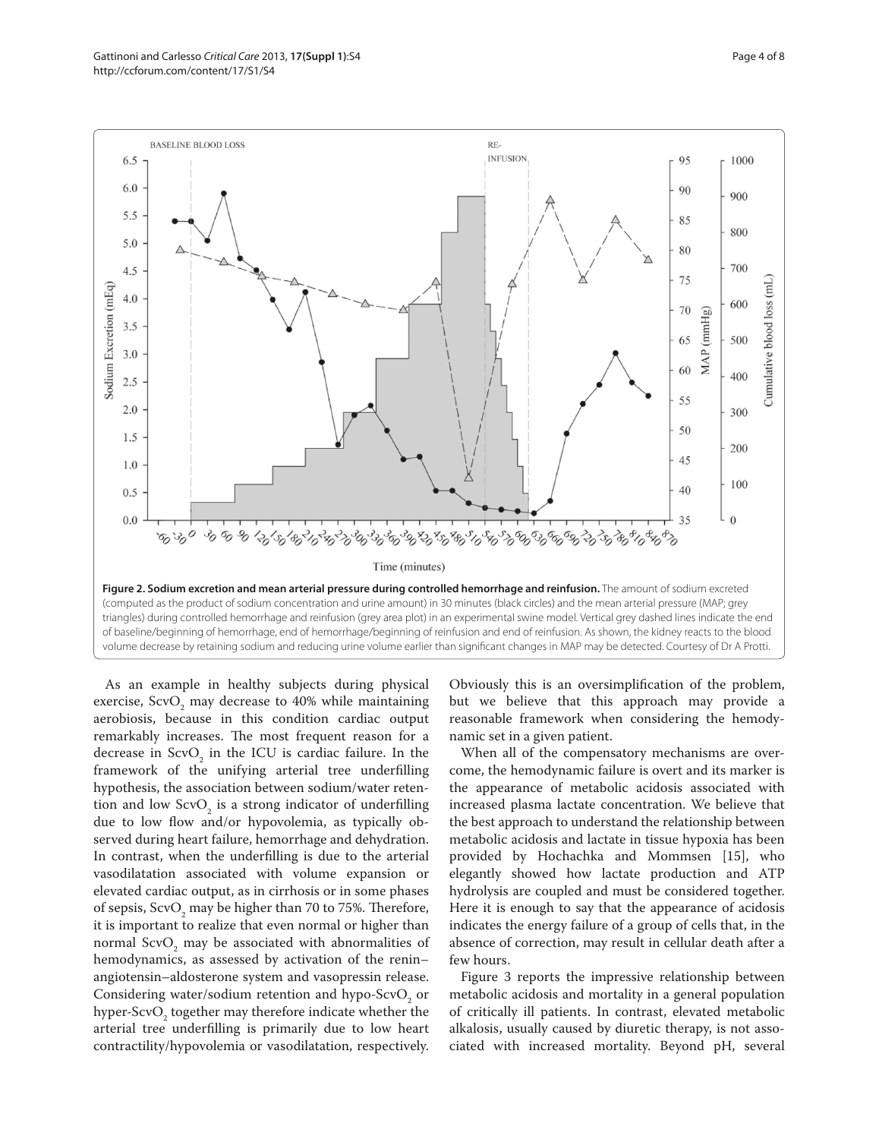

As an example in healthy subjects during physical exercise,  $\mathrm{ScvO}_{2}$  may decrease to 40% while maintaining aerobiosis, because in this condition cardiac output remarkably increases. The most frequent reason for a decrease in  $ScvO_2$  in the ICU is cardiac failure. In the framework of the unifying arterial tree underfilling hypothesis, the association between sodium/water retention and low  $\rm ScvO_{2}$  is a strong indicator of underfilling due to low flow and/or hypovolemia, as typically observed during heart failure, hemorrhage and dehydration. In contrast, when the underfilling is due to the arterial vasodilatation associated with volume expansion or elevated cardiac output, as in cirrhosis or in some phases of sepsis,  $\rm ScvO_{2}$  may be higher than 70 to 75%. Therefore, it is important to realize that even normal or higher than normal  $\rm ScvO_{2}$  may be associated with abnormalities of hemodynamics, as assessed by activation of the renin– angiotensin–aldo sterone system and vasopressin release. Considering water/sodium retention and hypo-ScvO<sub>2</sub> or hyper-Scv $\mathrm{O}_2$  together may therefore indicate whether the arterial tree underfilling is primarily due to low heart contractility/hypovolemia or vasodilatation, respectively.

Obviously this is an oversimplification of the problem, but we believe that this approach may provide a reasonable framework when considering the hemodynamic set in a given patient.

When all of the compensatory mechanisms are overcome, the hemodynamic failure is overt and its marker is the appearance of metabolic acidosis associated with increased plasma lactate concentration. We believe that the best approach to understand the relationship between metabolic acidosis and lactate in tissue hypoxia has been provided by Hochachka and Mommsen [15], who elegantly showed how lactate production and ATP hydrolysis are coupled and must be considered together. Here it is enough to say that the appearance of acidosis indicates the energy failure of a group of cells that, in the absence of correction, may result in cellular death after a few hours.

Figure 3 reports the impressive relationship between metabolic acidosis and mortality in a general population of critically ill patients. In contrast, elevated metabolic alkalosis, usually caused by diuretic therapy, is not associated with increased mortality. Beyond pH, several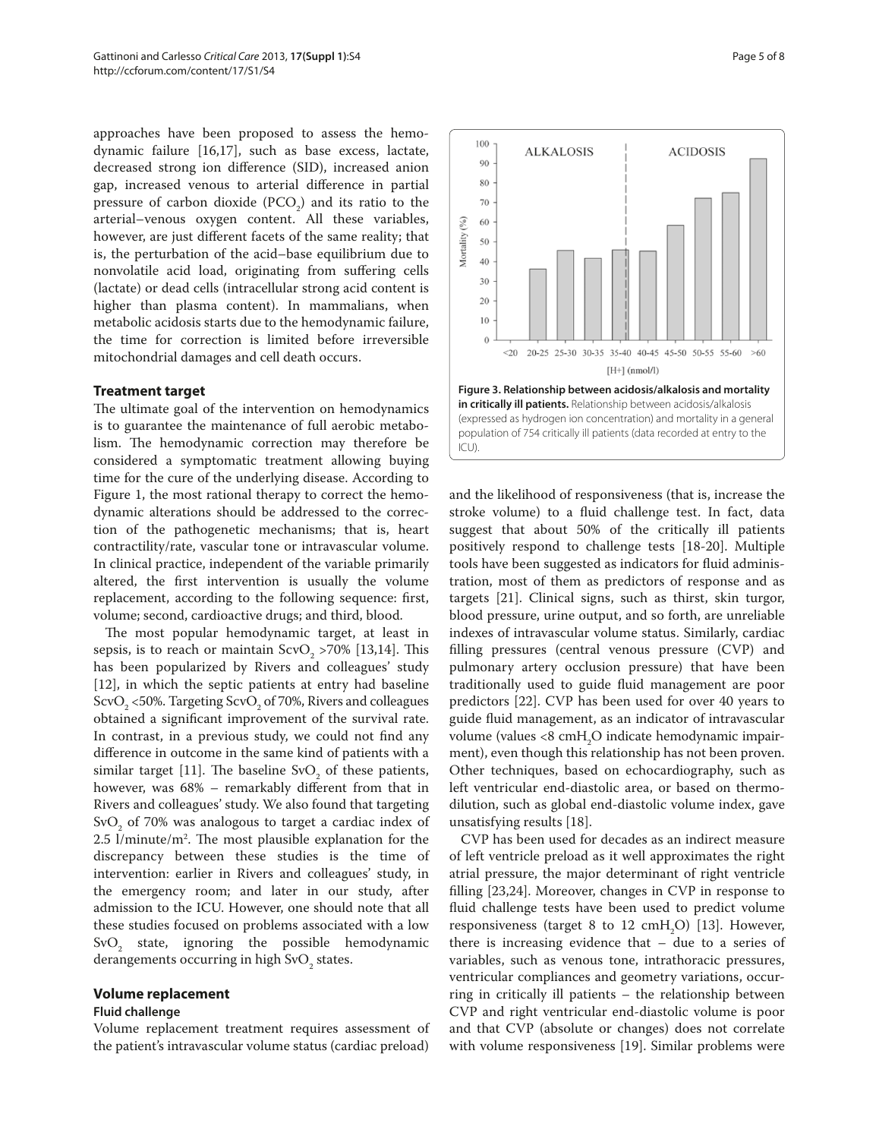approaches have been proposed to assess the hemodynamic failure [16,17], such as base excess, lactate, decreased strong ion difference (SID), increased anion gap, increased venous to arterial difference in partial pressure of carbon dioxide  $(PCO<sub>2</sub>)$  and its ratio to the arterial–venous oxygen content. All these variables, however, are just different facets of the same reality; that is, the perturbation of the acid–base equilibrium due to nonvolatile acid load, originating from suffering cells (lactate) or dead cells (intracellular strong acid content is higher than plasma content). In mammalians, when metabolic acidosis starts due to the hemodynamic failure, the time for correction is limited before irreversible mitochondrial damages and cell death occurs.

# **Treatment target**

The ultimate goal of the intervention on hemodynamics is to guarantee the maintenance of full aerobic metabolism. The hemodynamic correction may therefore be considered a symptomatic treatment allowing buying time for the cure of the underlying disease. According to Figure 1, the most rational therapy to correct the hemodynamic alterations should be addressed to the correction of the pathogenetic mechanisms; that is, heart contractility/rate, vascular tone or intravascular volume. In clinical practice, independent of the variable primarily altered, the first intervention is usually the volume replacement, according to the following sequence: first, volume; second, cardioactive drugs; and third, blood.

The most popular hemodynamic target, at least in sepsis, is to reach or maintain  $\rm ScvO_{_2}$  >70% [13,14]. This has been popularized by Rivers and colleagues' study [12], in which the septic patients at entry had baseline  $\rm ScvO_{2}$  <50%. Targeting  $\rm ScvO_{2}$  of 70%, Rivers and colleagues obtained a significant improvement of the survival rate. In contrast, in a previous study, we could not find any difference in outcome in the same kind of patients with a similar target [11]. The baseline  $\text{SvO}_2$  of these patients, however, was  $68\%$  – remarkably different from that in Rivers and colleagues' study. We also found that targeting  $\text{SvO}_2$  of 70% was analogous to target a cardiac index of  $2.5$  l/minute/m<sup>2</sup>. The most plausible explanation for the discrepancy between these studies is the time of intervention: earlier in Rivers and colleagues' study, in the emergency room; and later in our study, after admission to the ICU. However, one should note that all these studies focused on problems associated with a low  $\text{SvO}_2$  state, ignoring the possible hemodynamic derangements occurring in high SvO $_{_2}$  states.

# **Volume replacement**

### **Fluid challenge**

Volume replacement treatment requires assessment of the patient's intravascular volume status (cardiac preload)



and the likelihood of responsiveness (that is, increase the stroke volume) to a fluid challenge test. In fact, data suggest that about 50% of the critically ill patients positively respond to challenge tests [18-20]. Multiple tools have been suggested as indicators for fluid administration, most of them as predictors of response and as targets [21]. Clinical signs, such as thirst, skin turgor, blood pressure, urine output, and so forth, are unreliable indexes of intravascular volume status. Similarly, cardiac filling pressures (central venous pressure (CVP) and pulmonary artery occlusion pressure) that have been traditionally used to guide fluid management are poor predictors [22]. CVP has been used for over 40 years to guide fluid management, as an indicator of intravascular volume (values  $<$ 8 cm $H_2O$  indicate hemodynamic impairment), even though this relationship has not been proven. Other techniques, based on echocardiography, such as left ventricular end-diastolic area, or based on thermodilution, such as global end-diastolic volume index, gave unsatisfying results [18].

CVP has been used for decades as an indirect measure of left ventricle preload as it well approximates the right atrial pressure, the major determinant of right ventricle filling  $[23,24]$ . Moreover, changes in CVP in response to fluid challenge tests have been used to predict volume responsiveness (target 8 to 12  $\text{cm}H_2\text{O}$ ) [13]. However, there is increasing evidence that  $-$  due to a series of variables, such as venous tone, intrathoracic pressures, ventricular compliances and geometry variations, occurring in critically ill patients – the relationship between CVP and right ventricular end-diastolic volume is poor and that CVP (absolute or changes) does not correlate with volume responsiveness [19]. Similar problems were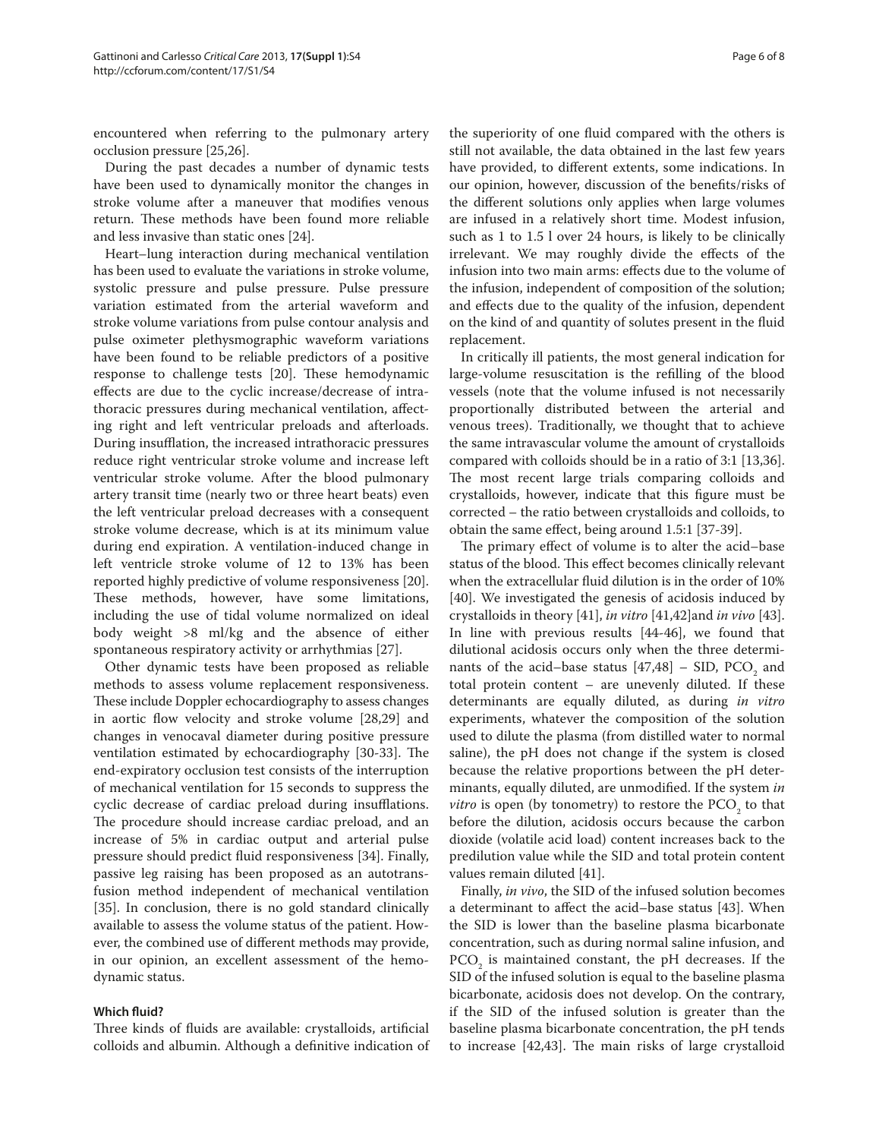encountered when referring to the pulmonary artery occlusion pressure [25,26].

During the past decades a number of dynamic tests have been used to dynamically monitor the changes in stroke volume after a maneuver that modifies venous return. These methods have been found more reliable and less invasive than static ones [24].

Heart–lung interaction during mechanical ventilation has been used to evaluate the variations in stroke volume, systolic pressure and pulse pressure. Pulse pressure variation estimated from the arterial waveform and stroke volume variations from pulse contour analysis and pulse oximeter plethysmographic waveform variations have been found to be reliable predictors of a positive response to challenge tests [20]. These hemodynamic effects are due to the cyclic increase/decrease of intrathoracic pressures during mechanical ventilation, affecting right and left ventricular preloads and afterloads. During insufflation, the increased intrathoracic pressures reduce right ventricular stroke volume and increase left ventricular stroke volume. After the blood pulmonary artery transit time (nearly two or three heart beats) even the left ventricular preload decreases with a consequent stroke volume decrease, which is at its minimum value during end expiration. A ventilation-induced change in left ventricle stroke volume of 12 to 13% has been reported highly predictive of volume responsiveness [20]. These methods, however, have some limitations, including the use of tidal volume normalized on ideal body weight >8 ml/kg and the absence of either spontaneous respiratory activity or arrhythmias [27].

Other dynamic tests have been proposed as reliable methods to assess volume replacement responsiveness. These include Doppler echocardiography to assess changes in aortic flow velocity and stroke volume [28,29] and changes in venocaval diameter during positive pressure ventilation estimated by echocardiography [30-33]. The end-expiratory occlusion test consists of the interruption of mechanical ventilation for 15 seconds to suppress the cyclic decrease of cardiac preload during insufflations. The procedure should increase cardiac preload, and an increase of 5% in cardiac output and arterial pulse pressure should predict fluid responsiveness [34]. Finally, passive leg raising has been proposed as an autotransfusion method independent of mechanical ventilation [35]. In conclusion, there is no gold standard clinically available to assess the volume status of the patient. However, the combined use of different methods may provide, in our opinion, an excellent assessment of the hemodynamic status.

## **Which fluid?**

Three kinds of fluids are available: crystalloids, artificial colloids and albumin. Although a definitive indication of the superiority of one fluid compared with the others is still not available, the data obtained in the last few years have provided, to different extents, some indications. In our opinion, however, discussion of the benefits/risks of the different solutions only applies when large volumes are infused in a relatively short time. Modest infusion, such as 1 to 1.5 l over 24 hours, is likely to be clinically irrelevant. We may roughly divide the effects of the infusion into two main arms: effects due to the volume of the infusion, independent of composition of the solution; and effects due to the quality of the infusion, dependent on the kind of and quantity of solutes present in the fluid replacement.

In critically ill patients, the most general indication for large-volume resuscitation is the refilling of the blood vessels (note that the volume infused is not necessarily proportionally distributed between the arterial and venous trees). Traditionally, we thought that to achieve the same intravascular volume the amount of crystalloids compared with colloids should be in a ratio of 3:1 [13,36]. The most recent large trials comparing colloids and crystalloids, however, indicate that this figure must be corrected – the ratio between crystalloids and colloids, to obtain the same effect, being around  $1.5:1$  [37-39].

The primary effect of volume is to alter the acid–base status of the blood. This effect becomes clinically relevant when the extracellular fluid dilution is in the order of 10% [40]. We investigated the genesis of acidosis induced by crystalloids in theory [41], *in vitro* [41,42]and *in vivo* [43]. In line with previous results [44-46], we found that dilutional acidosis occurs only when the three determinants of the acid–base status  $[47,48]$  – SID, PCO<sub>2</sub> and total protein content – are unevenly diluted. If these determinants are equally diluted, as during *in vitro* experiments, whatever the composition of the solution used to dilute the plasma (from distilled water to normal saline), the pH does not change if the system is closed because the relative proportions between the pH determinants, equally diluted, are unmodified. If the system *in vitro* is open (by tonometry) to restore the  $PCO_2$  to that before the dilution, acidosis occurs because the carbon dioxide (volatile acid load) content increases back to the predilution value while the SID and total protein content values remain diluted [41].

Finally, *in vivo*, the SID of the infused solution becomes a determinant to affect the acid–base status  $[43]$ . When the SID is lower than the baseline plasma bicarbonate concentration, such as during normal saline infusion, and  $PCO<sub>2</sub>$  is maintained constant, the pH decreases. If the SID of the infused solution is equal to the baseline plasma bicarbonate, acidosis does not develop. On the contrary, if the SID of the infused solution is greater than the baseline plasma bicarbonate concentration, the pH tends to increase  $[42,43]$ . The main risks of large crystalloid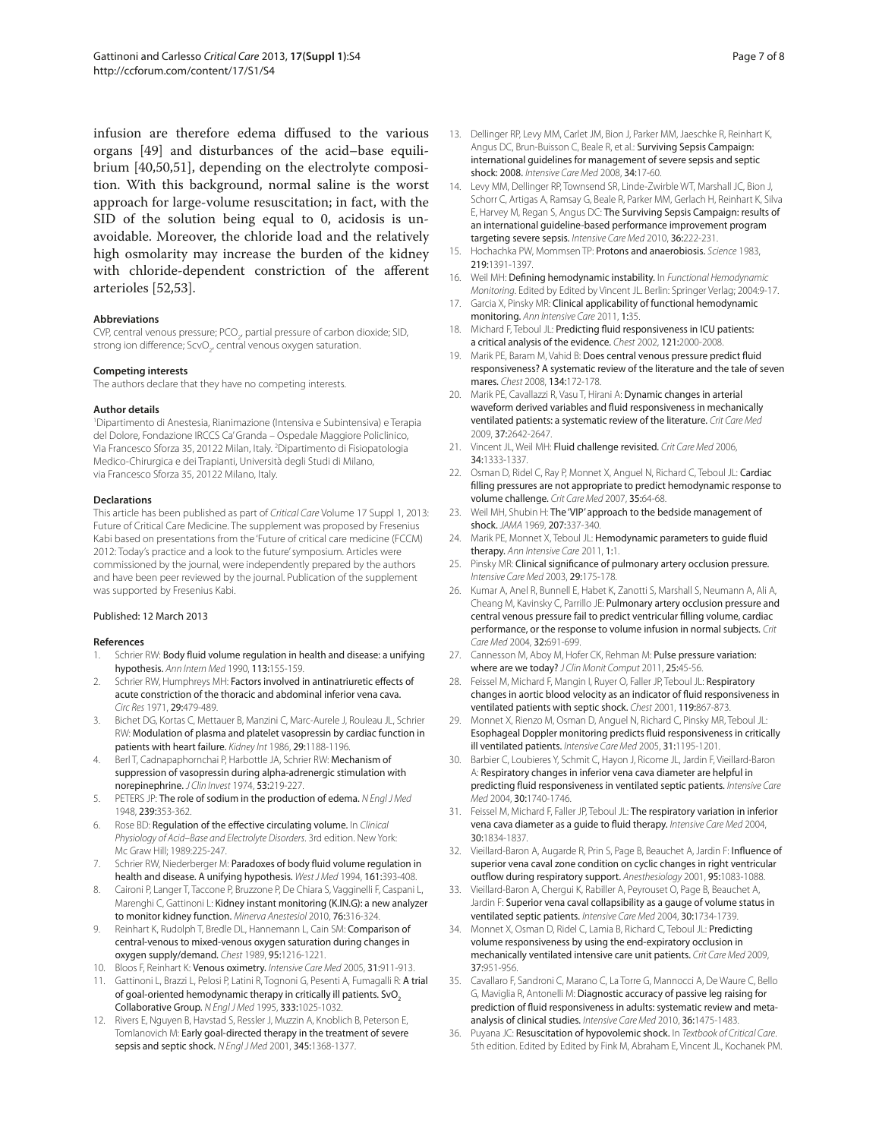infusion are therefore edema diffused to the various organs [49] and disturbances of the acid–base equilibrium  $[40,50,51]$ , depending on the electrolyte composition. With this background, normal saline is the worst approach for large-volume resuscitation; in fact, with the SID of the solution being equal to 0, acidosis is unavoidable. Moreover, the chloride load and the relatively high osmolarity may increase the burden of the kidney with chloride-dependent constriction of the afferent arterioles [52,53].

#### **Abbreviations**

CVP, central venous pressure;  $PCO_{2'}$  partial pressure of carbon dioxide; SID, strong ion difference; ScvO<sub>2</sub>, central venous oxygen saturation.

#### **Competing interests**

The authors declare that they have no competing interests.

#### **Author details**

1 Dipartimento di Anestesia, Rianimazione (Intensiva e Subintensiva) e Terapia del Dolore, Fondazione IRCCS Ca' Granda – Ospedale Maggiore Policlinico, Via Francesco Sforza 35, 20122 Milan, Italy. <sup>2</sup>Dipartimento di Fisiopatologia Medico-Chirurgica e dei Trapianti, Università degli Studi di Milano, via Francesco Sforza 35, 20122 Milano, Italy.

#### **Declarations**

This article has been published as part of Critical Care Volume 17 Suppl 1, 2013: Future of Critical Care Medicine. The supplement was proposed by Fresenius Kabi based on presentations from the 'Future of critical care medicine (FCCM) 2012: Today's practice and a look to the future' symposium. Articles were commissioned by the journal, were independently prepared by the authors and have been peer reviewed by the journal. Publication of the supplement was supported by Fresenius Kabi.

#### Published: 12 March 2013

#### **References**

- 1. Schrier RW: Body fluid volume regulation in health and disease: a unifying hypothesis. Ann Intern Med 1990, 113:155-159.
- Schrier RW, Humphreys MH: Factors involved in antinatriuretic effects of acute constriction of the thoracic and abdominal inferior vena cava. Circ Res 1971, 29:479-489.
- Bichet DG, Kortas C, Mettauer B, Manzini C, Marc-Aurele J, Rouleau JL, Schrier RW: Modulation of plasma and platelet vasopressin by cardiac function in patients with heart failure. Kidney Int 1986, 29:1188-1196.
- 4. Berl T, Cadnapaphornchai P, Harbottle JA, Schrier RW: Mechanism of suppression of vasopressin during alpha-adrenergic stimulation with norepinephrine. J Clin Invest 1974, 53:219-227.
- 5. PETERS JP: The role of sodium in the production of edema. N Engl J Med 1948, 239:353-362.
- 6. Rose BD: Regulation of the effective circulating volume. In Clinical Physiology of Acid–Base and Electrolyte Disorders. 3rd edition. New York: Mc Graw Hill; 1989:225-247.
- 7. Schrier RW, Niederberger M: Paradoxes of body fluid volume regulation in health and disease. A unifying hypothesis. West J Med 1994, 161:393-408.
- 8. Caironi P, Langer T, Taccone P, Bruzzone P, De Chiara S, Vagginelli F, Caspani L, Marenghi C, Gattinoni L: Kidney instant monitoring (K.IN.G): a new analyzer to monitor kidney function. Minerva Anestesiol 2010, 76:316-324.
- 9. Reinhart K, Rudolph T, Bredle DL, Hannemann L, Cain SM: Comparison of central-venous to mixed-venous oxygen saturation during changes in oxygen supply/demand. Chest 1989, 95:1216-1221.
- 10. Bloos F, Reinhart K: Venous oximetry. Intensive Care Med 2005, 31:911-913.
- 11. Gattinoni L, Brazzi L, Pelosi P, Latini R, Tognoni G, Pesenti A, Fumagalli R: A trial of goal-oriented hemodynamic therapy in critically ill patients. SvO<sub>2</sub> Collaborative Group. N Engl J Med 1995, 333:1025-1032.
- 12. Rivers E, Nguyen B, Havstad S, Ressler J, Muzzin A, Knoblich B, Peterson E, Tomlanovich M: Early goal-directed therapy in the treatment of severe sepsis and septic shock. N Engl J Med 2001, 345:1368-1377.
- Angus DC, Brun-Buisson C, Beale R, et al.: Surviving Sepsis Campaign: international guidelines for management of severe sepsis and septic shock: 2008. Intensive Care Med 2008, 34:17-60.
- 14. Levy MM, Dellinger RP, Townsend SR, Linde-Zwirble WT, Marshall JC, Bion J, Schorr C, Artigas A, Ramsay G, Beale R, Parker MM, Gerlach H, Reinhart K, Silva E, Harvey M, Regan S, Angus DC: The Surviving Sepsis Campaign: results of an international guideline-based performance improvement program targeting severe sepsis. Intensive Care Med 2010, 36:222-231.
- 15. Hochachka PW, Mommsen TP: Protons and anaerobiosis. Science 1983, 219:1391-1397.
- 16. Weil MH: Defining hemodynamic instability. In Functional Hemodynamic Monitoring. Edited by Edited by Vincent JL. Berlin: Springer Verlag; 2004:9-17.
- 17. Garcia X, Pinsky MR: Clinical applicability of functional hemodynamic monitoring. Ann Intensive Care 2011, 1:35.
- 18. Michard F, Teboul JL: Predicting fluid responsiveness in ICU patients: a critical analysis of the evidence. Chest 2002, 121:2000-2008.
- 19. Marik PE, Baram M, Vahid B: Does central venous pressure predict fluid responsiveness? A systematic review of the literature and the tale of seven mares. Chest 2008, 134:172-178.
- 20. Marik PE, Cavallazzi R, Vasu T, Hirani A: Dynamic changes in arterial waveform derived variables and fluid responsiveness in mechanically ventilated patients: a systematic review of the literature. Crit Care Med 2009, 37:2642-2647.
- 21. Vincent JL, Weil MH: Fluid challenge revisited. Crit Care Med 2006, 34:1333-1337.
- 22. Osman D, Ridel C, Ray P, Monnet X, Anguel N, Richard C, Teboul JL: Cardiac filling pressures are not appropriate to predict hemodynamic response to volume challenge. Crit Care Med 2007, 35:64-68.
- 23. Weil MH, Shubin H: The 'VIP' approach to the bedside management of shock. JAMA 1969, 207:337-340.
- 24. Marik PE, Monnet X, Teboul JL: Hemodynamic parameters to guide fluid therapy. Ann Intensive Care 2011, 1:1.
- 25. Pinsky MR: Clinical significance of pulmonary artery occlusion pressure. Intensive Care Med 2003, 29:175-178.
- 26. Kumar A, Anel R, Bunnell E, Habet K, Zanotti S, Marshall S, Neumann A, Ali A, Cheang M, Kavinsky C, Parrillo JE: Pulmonary artery occlusion pressure and central venous pressure fail to predict ventricular filling volume, cardiac performance, or the response to volume infusion in normal subjects. Crit Care Med 2004, 32:691-699.
- 27. Cannesson M, Aboy M, Hofer CK, Rehman M: Pulse pressure variation: where are we today? J Clin Monit Comput 2011, 25:45-56.
- 28. Feissel M, Michard F, Mangin I, Ruyer O, Faller JP, Teboul JL: Respiratory changes in aortic blood velocity as an indicator of fluid responsiveness in ventilated patients with septic shock. Chest 2001, 119:867-873.
- 29. Monnet X, Rienzo M, Osman D, Anguel N, Richard C, Pinsky MR, Teboul JL: Esophageal Doppler monitoring predicts fluid responsiveness in critically ill ventilated patients. Intensive Care Med 2005, 31:1195-1201.
- 30. Barbier C, Loubieres Y, Schmit C, Hayon J, Ricome JL, Jardin F, Vieillard-Baron A: Respiratory changes in inferior vena cava diameter are helpful in predicting fluid responsiveness in ventilated septic patients. Intensive Care Med 2004, 30:1740-1746.
- 31. Feissel M, Michard F, Faller JP, Teboul JL: The respiratory variation in inferior vena cava diameter as a guide to fluid therapy. Intensive Care Med 2004, 30:1834-1837.
- 32. Vieillard-Baron A, Augarde R, Prin S, Page B, Beauchet A, Jardin F: Influence of superior vena caval zone condition on cyclic changes in right ventricular outflow during respiratory support. Anesthesiology 2001, 95:1083-1088.
- 33. Vieillard-Baron A, Chergui K, Rabiller A, Peyrouset O, Page B, Beauchet A, Jardin F: Superior vena caval collapsibility as a gauge of volume status in ventilated septic patients. Intensive Care Med 2004, 30:1734-1739.
- 34. Monnet X, Osman D, Ridel C, Lamia B, Richard C, Teboul JL: Predicting volume responsiveness by using the end-expiratory occlusion in mechanically ventilated intensive care unit patients. Crit Care Med 2009, 37:951-956.
- 35. Cavallaro F, Sandroni C, Marano C, La Torre G, Mannocci A, De Waure C, Bello G, Maviglia R, Antonelli M: Diagnostic accuracy of passive leg raising for prediction of fluid responsiveness in adults: systematic review and metaanalysis of clinical studies. Intensive Care Med 2010, 36:1475-1483.
- 36. Puyana JC: Resuscitation of hypovolemic shock. In Textbook of Critical Care. 5th edition. Edited by Edited by Fink M, Abraham E, Vincent JL, Kochanek PM.